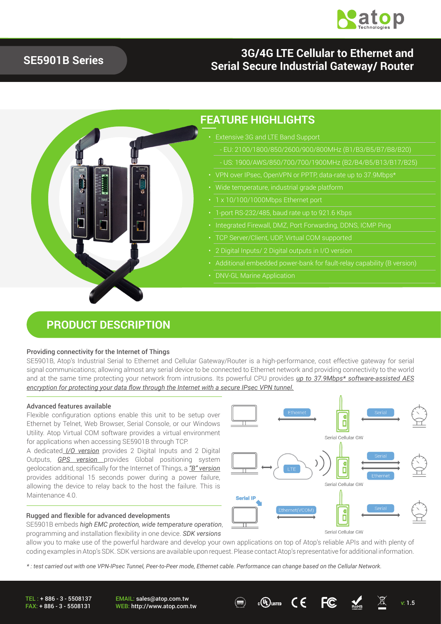

## **SE5901B Series**

## **3G/4G LTE Cellular to Ethernet and Serial Secure Industrial Gateway/ Router**



### **PRODUCT DESCRIPTION**

#### Providing connectivity for the Internet of Things

SE5901B, Atop's Industrial Serial to Ethernet and Cellular Gateway/Router is a high-performance, cost effective gateway for serial signal communications; allowing almost any serial device to be connected to Ethernet network and providing connectivity to the world and at the same time protecting your network from intrusions. Its powerful CPU provides *up to 37.9Mbps\* software-assisted AES encryption for protecting your data flow through the Internet with a secure IPsec VPN tunnel.*

#### Advanced features available

Flexible configuration options enable this unit to be setup over Ethernet by Telnet, Web Browser, Serial Console, or our Windows Utility. Atop Virtual COM software provides a virtual environment for applications when accessing SE5901B through TCP.

A dedicated *I/O version* provides 2 Digital Inputs and 2 Digital Outputs, *GPS version* provides Global positioning system geolocation and, specifically for the Internet of Things, a *"B" version* provides additional 15 seconds power during a power failure, allowing the device to relay back to the host the failure. This is Maintenance 4.0

#### Rugged and flexible for advanced developments

SE5901B embeds *high EMC protection, wide temperature operation*, programming and installation flexibility in one device. *SDK versions*

Ő Serial Cellular GW Õ Serial Cellular GW **Serial IP** П

Serial Cellular GW

allow you to make use of the powerful hardware and develop your own applications on top of Atop's reliable APIs and with plenty of coding examples in Atop's SDK. SDK versions are available upon request. Please contact Atop's representative for additional information.

*\* : test carried out with one VPN-IPsec Tunnel, Peer-to-Peer mode, Ethernet cable. Performance can change based on the Cellular Network.* 

TEL : + 886 - 3 - 5508137 FAX: + 886 - 3 - 5508131

EMAIL: sales@atop.com.tw EMAIL: sales@atop.com.tw  $\bigoplus_{v: 1.5}$  c $\bigoplus_{u \in E}$  computer  $\bigcup_{v: 1.5}$   $\bigoplus_{v: 1.5}$  v: 1.5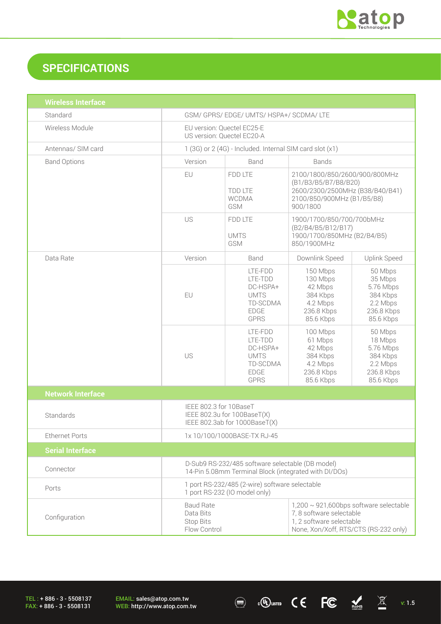

# **SPECIFICATIONS**

| <b>Wireless Interface</b> |                                                                                                                                                                                                                    |                                                                                         |                                                                                                                                    |                                                                                    |
|---------------------------|--------------------------------------------------------------------------------------------------------------------------------------------------------------------------------------------------------------------|-----------------------------------------------------------------------------------------|------------------------------------------------------------------------------------------------------------------------------------|------------------------------------------------------------------------------------|
| Standard                  | GSM/ GPRS/ EDGE/ UMTS/ HSPA+/ SCDMA/ LTE                                                                                                                                                                           |                                                                                         |                                                                                                                                    |                                                                                    |
| Wireless Module           | EU version: Quectel EC25-E<br>US version: Quectel EC20-A                                                                                                                                                           |                                                                                         |                                                                                                                                    |                                                                                    |
| Antennas/ SIM card        | 1 (3G) or 2 (4G) - Included. Internal SIM card slot (x1)                                                                                                                                                           |                                                                                         |                                                                                                                                    |                                                                                    |
| <b>Band Options</b>       | Version                                                                                                                                                                                                            | Band<br><b>Bands</b>                                                                    |                                                                                                                                    |                                                                                    |
|                           | EU                                                                                                                                                                                                                 | FDD LTE<br>TDD LTE<br><b>WCDMA</b><br>GSM                                               | 2100/1800/850/2600/900/800MHz<br>(B1/B3/B5/B7/B8/B20)<br>2600/2300/2500MHz (B38/B40/B41)<br>2100/850/900MHz (B1/B5/B8)<br>900/1800 |                                                                                    |
|                           | US                                                                                                                                                                                                                 | FDD LTE<br><b>UMTS</b><br>GSM                                                           | 1900/1700/850/700/700bMHz<br>(B2/B4/B5/B12/B17)<br>1900/1700/850MHz (B2/B4/B5)<br>850/1900MHz                                      |                                                                                    |
| Data Rate                 | Version                                                                                                                                                                                                            | Band                                                                                    | Downlink Speed                                                                                                                     | Uplink Speed                                                                       |
|                           | EU                                                                                                                                                                                                                 | LTE-FDD<br>LTE-TDD<br>DC-HSPA+<br><b>UMTS</b><br>TD-SCDMA<br><b>EDGE</b><br><b>GPRS</b> | 150 Mbps<br>130 Mbps<br>42 Mbps<br>384 Kbps<br>4.2 Mbps<br>236.8 Kbps<br>85.6 Kbps                                                 | 50 Mbps<br>35 Mbps<br>5.76 Mbps<br>384 Kbps<br>2.2 Mbps<br>236.8 Kbps<br>85.6 Kbps |
|                           | US                                                                                                                                                                                                                 | LTE-FDD<br>LTE-TDD<br>DC-HSPA+<br><b>UMTS</b><br>TD-SCDMA<br><b>EDGE</b><br><b>GPRS</b> | 100 Mbps<br>61 Mbps<br>42 Mbps<br>384 Kbps<br>4.2 Mbps<br>236.8 Kbps<br>85.6 Kbps                                                  | 50 Mbps<br>18 Mbps<br>5.76 Mbps<br>384 Kbps<br>2.2 Mbps<br>236.8 Kbps<br>85.6 Kbps |
| <b>Network Interface</b>  |                                                                                                                                                                                                                    |                                                                                         |                                                                                                                                    |                                                                                    |
| Standards                 | IEEE 802.3 for 10BaseT<br>IEEE 802.3u for 100BaseT(X)<br>IEEE 802.3ab for 1000BaseT(X)                                                                                                                             |                                                                                         |                                                                                                                                    |                                                                                    |
| <b>Ethernet Ports</b>     | 1x 10/100/1000BASE-TX RJ-45                                                                                                                                                                                        |                                                                                         |                                                                                                                                    |                                                                                    |
| <b>Serial Interface</b>   |                                                                                                                                                                                                                    |                                                                                         |                                                                                                                                    |                                                                                    |
| Connector                 | D-Sub9 RS-232/485 software selectable (DB model)<br>14-Pin 5.08mm Terminal Block (integrated with DI/DOs)                                                                                                          |                                                                                         |                                                                                                                                    |                                                                                    |
| Ports                     | 1 port RS-232/485 (2-wire) software selectable<br>1 port RS-232 (IO model only)                                                                                                                                    |                                                                                         |                                                                                                                                    |                                                                                    |
| Configuration             | <b>Baud Rate</b><br>$1,200 \sim 921,600$ bps software selectable<br>7, 8 software selectable<br>Data Bits<br>1, 2 software selectable<br><b>Stop Bits</b><br>Flow Control<br>None, Xon/Xoff, RTS/CTS (RS-232 only) |                                                                                         |                                                                                                                                    |                                                                                    |

 $\textcircled{\tiny{\textcircled{\tiny{H}}}}$   $\textcircled{\tiny{\textcircled{\tiny{H}}}}$   $\textcircled{\tiny{\textcircled{\tiny{H}}}}$   $\textcircled{\tiny{\textcircled{\tiny{H}}}}$   $\textcircled{\tiny{\textcircled{\tiny{H}}}}$   $\textcircled{\tiny{\textcircled{\tiny{H}}}}$   $\textcircled{\tiny{\textcircled{\tiny{H}}}}$   $\textcircled{\tiny{\textcircled{\tiny{H}}}}$   $\textcircled{\tiny{\textcircled{\tiny{H}}}}$   $\textcircled{\tiny{\textcircled{\tiny{H}}}}$   $\textcircled{\tiny{\textcircled{\tiny{H}}}}$   $\textcircled{\tiny{\textcircled{\$ 

TEL : + 886 - 3 - 5508137 FAX: + 886 - 3 - 5508131

EMAIL: sales@atop.com.tw<br>WEB: http://www.atop.com.tw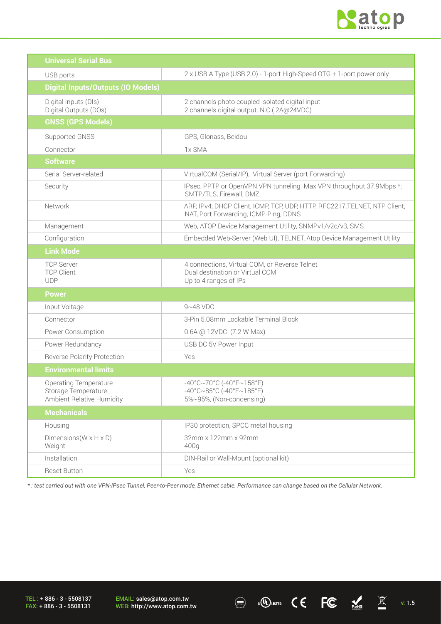

| <b>Universal Serial Bus</b>                                                      |                                                                                                                                  |
|----------------------------------------------------------------------------------|----------------------------------------------------------------------------------------------------------------------------------|
| USB ports                                                                        | 2 x USB A Type (USB 2.0) - 1-port High-Speed OTG + 1-port power only                                                             |
| <b>Digital Inputs/Outputs (IO Models)</b>                                        |                                                                                                                                  |
| Digital Inputs (DIs)<br>Digital Outputs (DOs)                                    | 2 channels photo coupled isolated digital input<br>2 channels digital output. N.O.(2A@24VDC)                                     |
| <b>GNSS (GPS Models)</b>                                                         |                                                                                                                                  |
| Supported GNSS                                                                   | GPS, Glonass, Beidou                                                                                                             |
| Connector                                                                        | 1x SMA                                                                                                                           |
| <b>Software</b>                                                                  |                                                                                                                                  |
| Serial Server-related                                                            | VirtualCOM (Serial/IP), Virtual Server (port Forwarding)                                                                         |
| Security                                                                         | IPsec, PPTP or OpenVPN VPN tunneling. Max VPN throughput 37.9Mbps *;<br>SMTP/TLS, Firewall, DMZ                                  |
| Network                                                                          | ARP, IPv4, DHCP Client, ICMP, TCP, UDP, HTTP, RFC2217, TELNET, NTP Client,<br>NAT, Port Forwarding, ICMP Ping, DDNS              |
| Management                                                                       | Web, ATOP Device Management Utility, SNMPv1/v2c/v3, SMS                                                                          |
| Configuration                                                                    | Embedded Web-Server (Web UI), TELNET, Atop Device Management Utility                                                             |
| <b>Link Mode</b>                                                                 |                                                                                                                                  |
| <b>TCP Server</b><br><b>TCP Client</b><br><b>UDP</b>                             | 4 connections, Virtual COM, or Reverse Telnet<br>Dual destination or Virtual COM<br>Up to 4 ranges of IPs                        |
| <b>Power</b>                                                                     |                                                                                                                                  |
| Input Voltage                                                                    | $9~48$ VDC                                                                                                                       |
| Connector                                                                        | 3-Pin 5.08mm Lockable Terminal Block                                                                                             |
| Power Consumption                                                                | 0.6A @ 12VDC (7.2 W Max)                                                                                                         |
| Power Redundancy                                                                 | USB DC 5V Power Input                                                                                                            |
| <b>Reverse Polarity Protection</b>                                               | Yes                                                                                                                              |
| <b>Environmental limits</b>                                                      |                                                                                                                                  |
| <b>Operating Temperature</b><br>Storage Temperature<br>Ambient Relative Humidity | $-40^{\circ}$ C $\sim$ 70°C (-40°F $\sim$ 158°F)<br>$-40^{\circ}$ C $\sim$ 85°C (-40°F $\sim$ 185°F)<br>5%~95%, (Non-condensing) |
| <b>Mechanicals</b>                                                               |                                                                                                                                  |
| Housing                                                                          | IP30 protection, SPCC metal housing                                                                                              |
| Dimensions ( $W \times H \times D$ )<br>Weight                                   | 32mm x 122mm x 92mm<br>400g                                                                                                      |
| Installation                                                                     | DIN-Rail or Wall-Mount (optional kit)                                                                                            |
| Reset Button                                                                     | Yes                                                                                                                              |

*\* : test carried out with one VPN-IPsec Tunnel, Peer-to-Peer mode, Ethernet cable. Performance can change based on the Cellular Network.* 

 $\textcircled{\tiny{\textcircled{\tiny{H}}}}$   $\textcircled{\tiny{\textcircled{\tiny{H}}}}$   $\textcircled{\tiny{\textcircled{\tiny{H}}}}$   $\textcircled{\tiny{\textcircled{\tiny{H}}}}$   $\textcircled{\tiny{\textcircled{\tiny{H}}}}$   $\textcircled{\tiny{\textcircled{\tiny{H}}}}$   $\textcircled{\tiny{\textcircled{\tiny{H}}}}$   $\textcircled{\tiny{\textcircled{\tiny{H}}}}$   $\textcircled{\tiny{\textcircled{\tiny{H}}}}$   $\textcircled{\tiny{\textcircled{\tiny{H}}}}$   $\textcircled{\tiny{\textcircled{\tiny{H}}}}$   $\textcircled{\tiny{\textcircled{\$ 

TEL : + 886 - 3 - 5508137 FAX: + 886 - 3 - 5508131

EMAIL: sales@atop.com.tw<br>WEB: http://www.atop.com.tw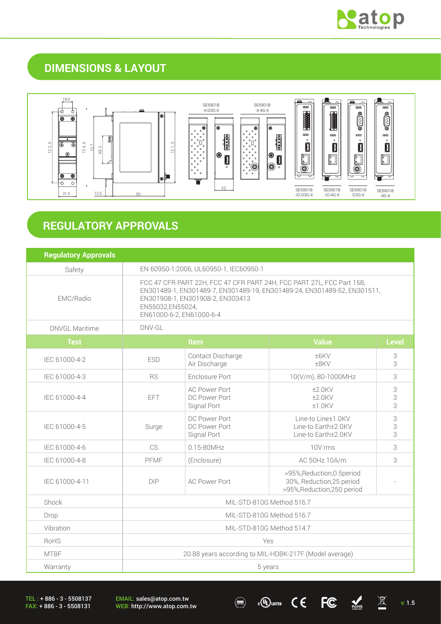

## **DIMENSIONS & LAYOUT**



# **REGULATORY APPROVALS**

| <b>Regulatory Approvals</b> |                                                                                                                                                                                                                                       |                                                      |                                                                                         |              |
|-----------------------------|---------------------------------------------------------------------------------------------------------------------------------------------------------------------------------------------------------------------------------------|------------------------------------------------------|-----------------------------------------------------------------------------------------|--------------|
| Safety                      | EN 60950-1:2006, UL60950-1, IEC60950-1                                                                                                                                                                                                |                                                      |                                                                                         |              |
| EMC/Radio                   | FCC 47 CFR PART 22H, FCC 47 CFR PART 24H, FCC PART 27L, FCC Part 15B,<br>EN301489-1, EN301489-7, EN301489-19, EN301489-24, EN301489-52, EN301511,<br>EN301908-1, EN301908-2, EN303413<br>EN55032,EN55024,<br>EN61000-6-2, EN61000-6-4 |                                                      |                                                                                         |              |
| DNVGL Maritime              | DNV-GL                                                                                                                                                                                                                                |                                                      |                                                                                         |              |
| <b>Test</b>                 |                                                                                                                                                                                                                                       | <b>Item</b>                                          | <b>Value</b>                                                                            | <b>Level</b> |
| IEC 61000-4-2               | <b>ESD</b>                                                                                                                                                                                                                            | Contact Discharge<br>Air Discharge                   | ±6KV<br>$+8$ KV                                                                         | 3<br>3       |
| IEC 61000-4-3               | <b>RS</b>                                                                                                                                                                                                                             | Enclosure Port                                       | 10(V/m), 80-1000MHz                                                                     | 3            |
| IEC 61000-4-4               | <b>EFT</b>                                                                                                                                                                                                                            | <b>AC Power Port</b><br>DC Power Port<br>Signal Port | $±2.0$ KV<br>$±2.0$ KV<br>±1.0KV                                                        | 3<br>3<br>3  |
| IEC 61000-4-5               | Surge                                                                                                                                                                                                                                 | DC Power Port<br>DC Power Port<br>Signal Port        | Line-to Line±1.0KV<br>Line-to Earth±2.0KV<br>Line-to Earth±2.0KV                        | 3<br>3<br>3  |
| IEC 61000-4-6               | <b>CS</b>                                                                                                                                                                                                                             | 0.15-80MHz                                           | 10V rms                                                                                 | 3            |
| IEC 61000-4-8               | PFMF                                                                                                                                                                                                                                  | (Enclosure)                                          | AC 50Hz 10A/m                                                                           | 3            |
| IEC 61000-4-11              | DIP                                                                                                                                                                                                                                   | <b>AC Power Port</b>                                 | >95%, Reduction, 0.5 period<br>30%, Reduction, 25 period<br>>95%, Reduction, 250 period |              |
| Shock                       | MIL-STD-810G Method 516.7                                                                                                                                                                                                             |                                                      |                                                                                         |              |
| Drop                        | MIL-STD-810G Method 516.7                                                                                                                                                                                                             |                                                      |                                                                                         |              |
| Vibration                   | MIL-STD-810G Method 514.7                                                                                                                                                                                                             |                                                      |                                                                                         |              |
| <b>RoHS</b>                 | Yes                                                                                                                                                                                                                                   |                                                      |                                                                                         |              |
| <b>MTBF</b>                 | 20.88 years according to MIL-HDBK-217F (Model average)                                                                                                                                                                                |                                                      |                                                                                         |              |
| Warranty                    | 5 years                                                                                                                                                                                                                               |                                                      |                                                                                         |              |

TEL : + 886 - 3 - 5508137 FAX: + 886 - 3 - 5508131

EMAIL: sales@atop.com.tw EMAIL: sales@atop.com.tw  $\bigcirc$   $\bigcirc$   $\bigcirc$   $\bigcirc$   $\bigcirc$   $\bigcirc$   $\bigcirc$   $\bigcirc$   $\bigcirc$   $\bigcirc$   $\bigcirc$   $\bigcirc$   $\bigcirc$   $\bigcirc$   $\bigcirc$   $\bigcirc$   $\bigcirc$   $\bigcirc$  1.5